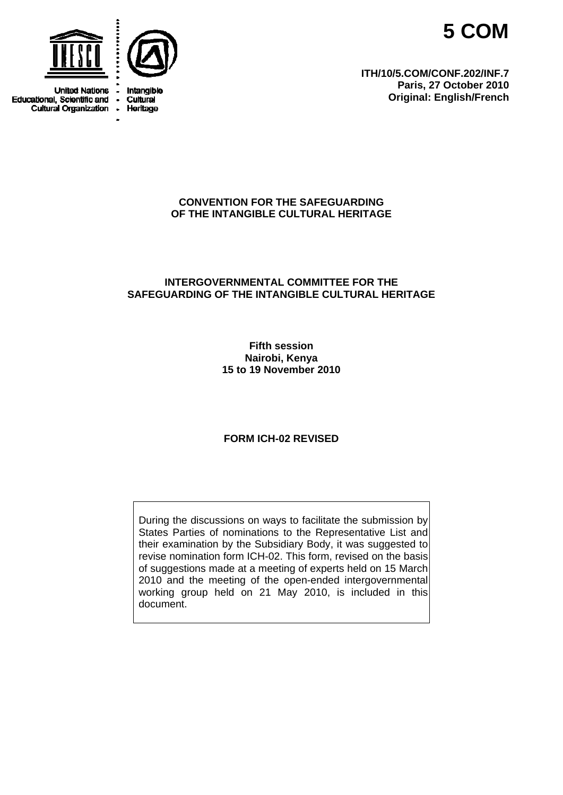



**United Nations** Educational, Scientific and . **Cultural Organization .** 



Intangible Cultural Heritage

**ITH/10/5.COM/CONF.202/INF.7 Paris, 27 October 2010 Original: English/French** 

# **CONVENTION FOR THE SAFEGUARDING OF THE INTANGIBLE CULTURAL HERITAGE**

# **INTERGOVERNMENTAL COMMITTEE FOR THE SAFEGUARDING OF THE INTANGIBLE CULTURAL HERITAGE**

**Fifth session Nairobi, Kenya 15 to 19 November 2010** 

# **FORM ICH-02 REVISED**

During the discussions on ways to facilitate the submission by States Parties of nominations to the Representative List and their examination by the Subsidiary Body, it was suggested to revise nomination form ICH-02. This form, revised on the basis of suggestions made at a meeting of experts held on 15 March 2010 and the meeting of the open-ended intergovernmental working group held on 21 May 2010, is included in this document.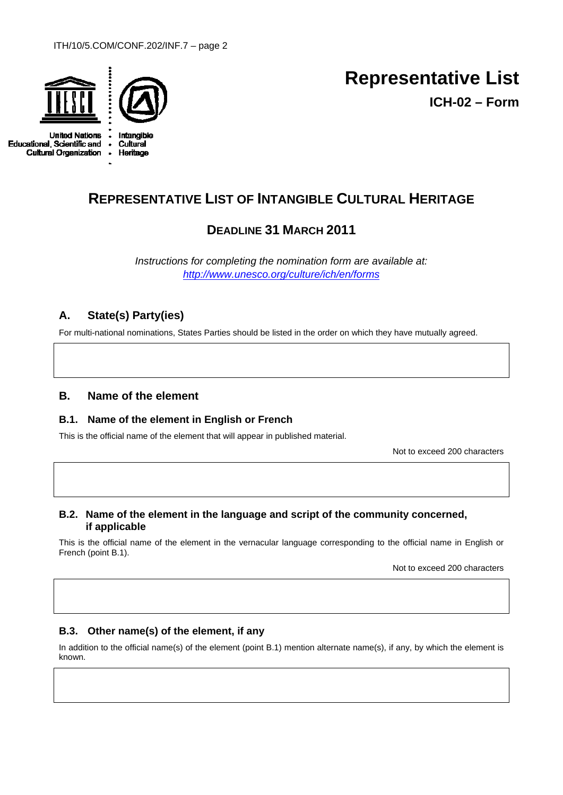

**United Nations Educational, Scientific and**  $\bullet$ **Cultural Organization**  $\bullet$ 



Heritage

# **Representative List ICH-02 – Form**

# **REPRESENTATIVE LIST OF INTANGIBLE CULTURAL HERITAGE**

# **DEADLINE 31 MARCH 2011**

*Instructions for completing the nomination form are available at: <http://www.unesco.org/culture/ich/en/forms>*

# **A. State(s) Party(ies)**

For multi-national nominations, States Parties should be listed in the order on which they have mutually agreed.

# **B. Name of the element**

# **B.1. Name of the element in English or French**

This is the official name of the element that will appear in published material.

Not to exceed 200 characters

# **B.2. Name of the element in the language and script of the community concerned, if applicable**

This is the official name of the element in the vernacular language corresponding to the official name in English or French (point B.1).

Not to exceed 200 characters

# **B.3. Other name(s) of the element, if any**

In addition to the official name(s) of the element (point B.1) mention alternate name(s), if any, by which the element is known.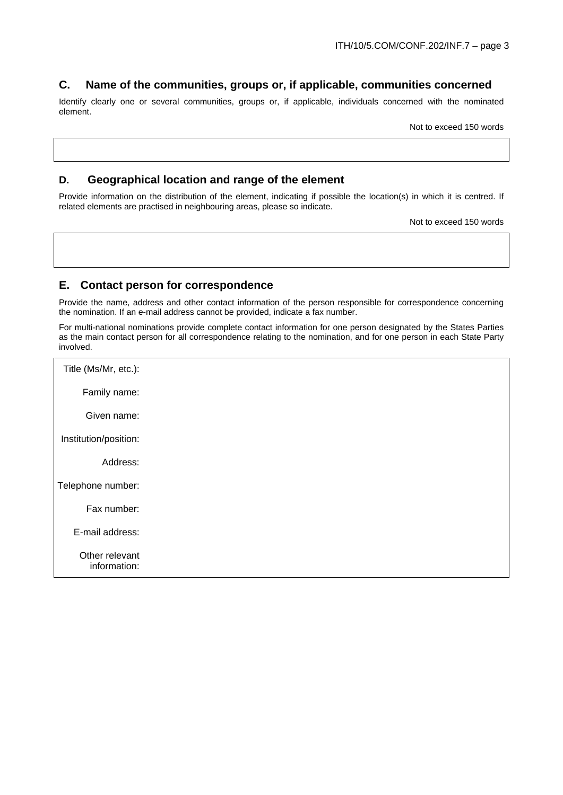# **C. Name of the communities, groups or, if applicable, communities concerned**

Identify clearly one or several communities, groups or, if applicable, individuals concerned with the nominated element.

Not to exceed 150 words

# **D. Geographical location and range of the element**

Provide information on the distribution of the element, indicating if possible the location(s) in which it is centred. If related elements are practised in neighbouring areas, please so indicate.

Not to exceed 150 words

# **E. Contact person for correspondence**

Provide the name, address and other contact information of the person responsible for correspondence concerning the nomination. If an e-mail address cannot be provided, indicate a fax number.

For multi-national nominations provide complete contact information for one person designated by the States Parties as the main contact person for all correspondence relating to the nomination, and for one person in each State Party involved.

| Title (Ms/Mr, etc.):           |  |
|--------------------------------|--|
| Family name:                   |  |
| Given name:                    |  |
| Institution/position:          |  |
| Address:                       |  |
| Telephone number:              |  |
| Fax number:                    |  |
| E-mail address:                |  |
| Other relevant<br>information: |  |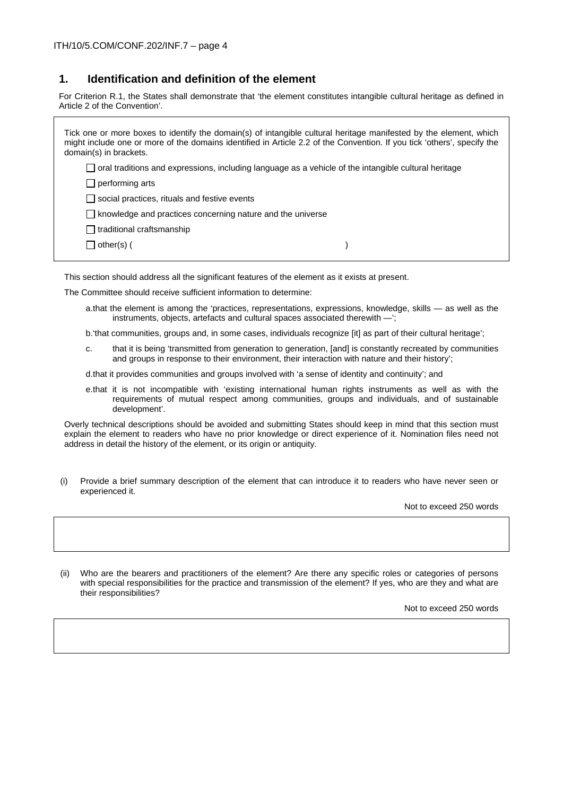# **1. Identification and definition of the element**

For Criterion R.1, the States shall demonstrate that 'the element constitutes intangible cultural heritage as defined in Article 2 of the Convention'.

Tick one or more boxes to identify the domain(s) of intangible cultural heritage manifested by the element, which might include one or more of the domains identified in Article 2.2 of the Convention. If you tick 'others', specify the domain(s) in brackets.  $\Box$  oral traditions and expressions, including language as a vehicle of the intangible cultural heritage  $\Box$  performing arts  $\Box$  social practices, rituals and festive events  $\Box$  knowledge and practices concerning nature and the universe  $\Box$  traditional craftsmanship  $\Box$  other(s) (

This section should address all the significant features of the element as it exists at present.

The Committee should receive sufficient information to determine:

a.that the element is among the 'practices, representations, expressions, knowledge, skills — as well as the instruments, objects, artefacts and cultural spaces associated therewith —';

b.'that communities, groups and, in some cases, individuals recognize [it] as part of their cultural heritage';

c. that it is being 'transmitted from generation to generation, [and] is constantly recreated by communities and groups in response to their environment, their interaction with nature and their history';

d.that it provides communities and groups involved with 'a sense of identity and continuity'; and

e.that it is not incompatible with 'existing international human rights instruments as well as with the requirements of mutual respect among communities, groups and individuals, and of sustainable development'.

Overly technical descriptions should be avoided and submitting States should keep in mind that this section must explain the element to readers who have no prior knowledge or direct experience of it. Nomination files need not address in detail the history of the element, or its origin or antiquity.

(i) Provide a brief summary description of the element that can introduce it to readers who have never seen or experienced it.

Not to exceed 250 words

(ii) Who are the bearers and practitioners of the element? Are there any specific roles or categories of persons with special responsibilities for the practice and transmission of the element? If yes, who are they and what are their responsibilities?

Not to exceed 250 words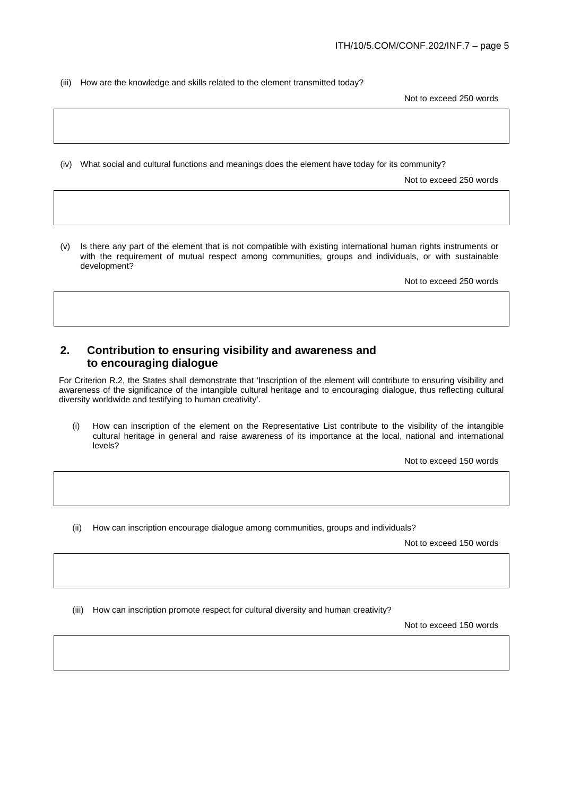(iii) How are the knowledge and skills related to the element transmitted today?

Not to exceed 250 words

(iv) What social and cultural functions and meanings does the element have today for its community?

Not to exceed 250 words

(v) Is there any part of the element that is not compatible with existing international human rights instruments or with the requirement of mutual respect among communities, groups and individuals, or with sustainable development?

Not to exceed 250 words

# **2. Contribution to ensuring visibility and awareness and to encouraging dialogue**

For Criterion R.2, the States shall demonstrate that 'Inscription of the element will contribute to ensuring visibility and awareness of the significance of the intangible cultural heritage and to encouraging dialogue, thus reflecting cultural diversity worldwide and testifying to human creativity'.

(i) How can inscription of the element on the Representative List contribute to the visibility of the intangible cultural heritage in general and raise awareness of its importance at the local, national and international levels?

Not to exceed 150 words

(ii) How can inscription encourage dialogue among communities, groups and individuals?

Not to exceed 150 words

(iii) How can inscription promote respect for cultural diversity and human creativity?

Not to exceed 150 words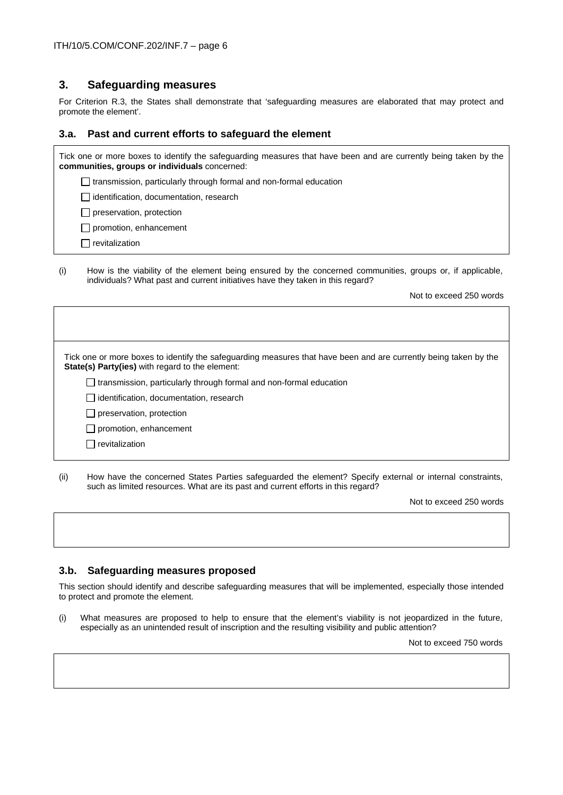### **3. Safeguarding measures**

For Criterion R.3, the States shall demonstrate that 'safeguarding measures are elaborated that may protect and promote the element'.

#### **3.a. Past and current efforts to safeguard the element**

| Tick one or more boxes to identify the safeguarding measures that have been and are currently being taken by the<br>communities, groups or individuals concerned: |
|-------------------------------------------------------------------------------------------------------------------------------------------------------------------|
| $\Box$ transmission, particularly through formal and non-formal education                                                                                         |
| lidentification, documentation, research                                                                                                                          |
| $\Box$ preservation, protection                                                                                                                                   |
| $\Box$ promotion, enhancement                                                                                                                                     |
| revitalization                                                                                                                                                    |
|                                                                                                                                                                   |

(i) How is the viability of the element being ensured by the concerned communities, groups or, if applicable, individuals? What past and current initiatives have they taken in this regard?

Not to exceed 250 words

Tick one or more boxes to identify the safeguarding measures that have been and are currently being taken by the **State(s) Party(ies)** with regard to the element:  $\Box$  transmission, particularly through formal and non-formal education didentification, documentation, research  $\Box$  preservation, protection  $\Box$  promotion, enhancement

 $\Box$  revitalization

(ii) How have the concerned States Parties safeguarded the element? Specify external or internal constraints, such as limited resources. What are its past and current efforts in this regard?

Not to exceed 250 words

#### **3.b. Safeguarding measures proposed**

This section should identify and describe safeguarding measures that will be implemented, especially those intended to protect and promote the element.

(i) What measures are proposed to help to ensure that the element's viability is not jeopardized in the future, especially as an unintended result of inscription and the resulting visibility and public attention?

Not to exceed 750 words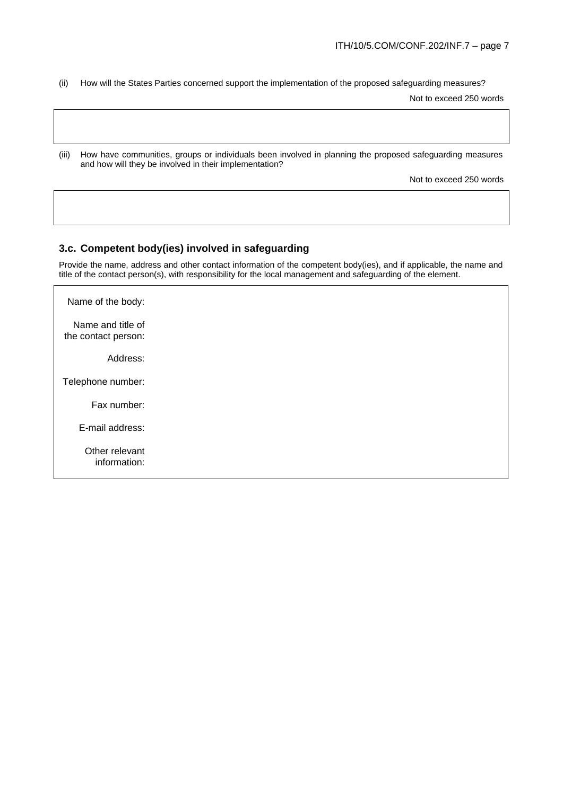(ii) How will the States Parties concerned support the implementation of the proposed safeguarding measures?

Not to exceed 250 words

(iii) How have communities, groups or individuals been involved in planning the proposed safeguarding measures and how will they be involved in their implementation?

Not to exceed 250 words

#### **3.c. Competent body(ies) involved in safeguarding**

Provide the name, address and other contact information of the competent body(ies), and if applicable, the name and title of the contact person(s), with responsibility for the local management and safeguarding of the element.

Name of the body: Name and title of the contact person: Address: Telephone number: Fax number: E-mail address: Other relevant information: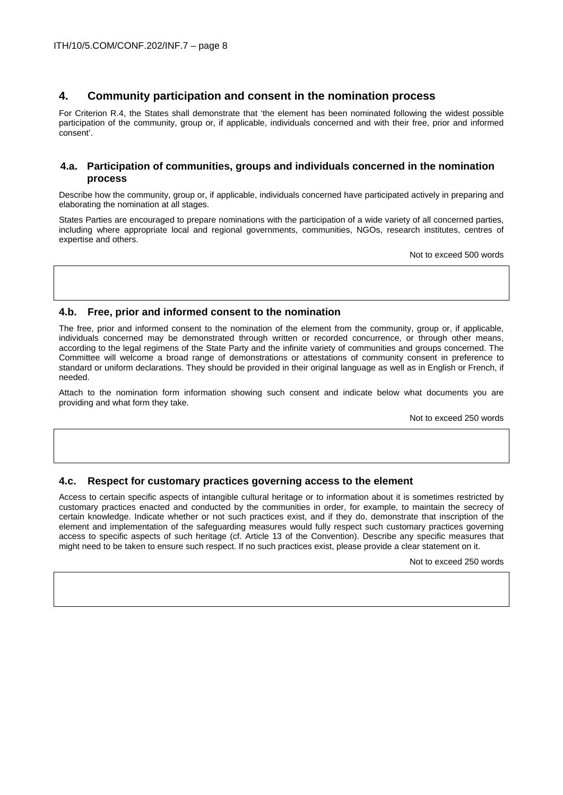# **4. Community participation and consent in the nomination process**

For Criterion R.4, the States shall demonstrate that 'the element has been nominated following the widest possible participation of the community, group or, if applicable, individuals concerned and with their free, prior and informed consent'.

#### **4.a. Participation of communities, groups and individuals concerned in the nomination process**

Describe how the community, group or, if applicable, individuals concerned have participated actively in preparing and elaborating the nomination at all stages.

States Parties are encouraged to prepare nominations with the participation of a wide variety of all concerned parties, including where appropriate local and regional governments, communities, NGOs, research institutes, centres of expertise and others.

Not to exceed 500 words

#### **4.b. Free, prior and informed consent to the nomination**

The free, prior and informed consent to the nomination of the element from the community, group or, if applicable, individuals concerned may be demonstrated through written or recorded concurrence, or through other means, according to the legal regimens of the State Party and the infinite variety of communities and groups concerned. The Committee will welcome a broad range of demonstrations or attestations of community consent in preference to standard or uniform declarations. They should be provided in their original language as well as in English or French, if needed.

Attach to the nomination form information showing such consent and indicate below what documents you are providing and what form they take.

Not to exceed 250 words

#### **4.c. Respect for customary practices governing access to the element**

Access to certain specific aspects of intangible cultural heritage or to information about it is sometimes restricted by customary practices enacted and conducted by the communities in order, for example, to maintain the secrecy of certain knowledge. Indicate whether or not such practices exist, and if they do, demonstrate that inscription of the element and implementation of the safeguarding measures would fully respect such customary practices governing access to specific aspects of such heritage (cf. Article 13 of the Convention). Describe any specific measures that might need to be taken to ensure such respect. If no such practices exist, please provide a clear statement on it.

Not to exceed 250 words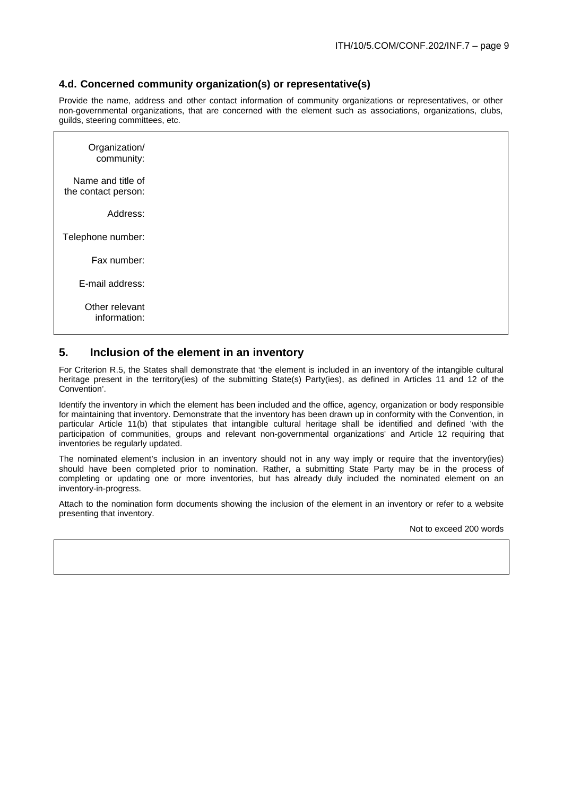#### **4.d. Concerned community organization(s) or representative(s)**

Provide the name, address and other contact information of community organizations or representatives, or other non-governmental organizations, that are concerned with the element such as associations, organizations, clubs, guilds, steering committees, etc.

| Organization/<br>community:              |  |  |
|------------------------------------------|--|--|
| Name and title of<br>the contact person: |  |  |
| Address:                                 |  |  |
| Telephone number:                        |  |  |
| Fax number:                              |  |  |
| E-mail address:                          |  |  |
| Other relevant<br>information:           |  |  |

## **5. Inclusion of the element in an inventory**

For Criterion R.5, the States shall demonstrate that 'the element is included in an inventory of the intangible cultural heritage present in the territory(ies) of the submitting State(s) Party(ies), as defined in Articles 11 and 12 of the Convention'.

Identify the inventory in which the element has been included and the office, agency, organization or body responsible for maintaining that inventory. Demonstrate that the inventory has been drawn up in conformity with the Convention, in particular Article 11(b) that stipulates that intangible cultural heritage shall be identified and defined 'with the participation of communities, groups and relevant non-governmental organizations' and Article 12 requiring that inventories be regularly updated.

The nominated element's inclusion in an inventory should not in any way imply or require that the inventory(ies) should have been completed prior to nomination. Rather, a submitting State Party may be in the process of completing or updating one or more inventories, but has already duly included the nominated element on an inventory-in-progress.

Attach to the nomination form documents showing the inclusion of the element in an inventory or refer to a website presenting that inventory.

Not to exceed 200 words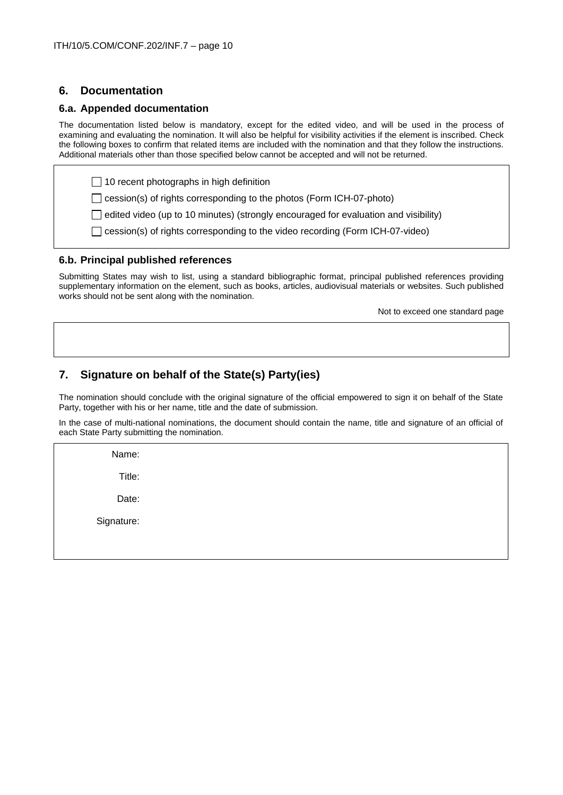# **6. Documentation**

#### **6.a. Appended documentation**

The documentation listed below is mandatory, except for the edited video, and will be used in the process of examining and evaluating the nomination. It will also be helpful for visibility activities if the element is inscribed. Check the following boxes to confirm that related items are included with the nomination and that they follow the instructions. Additional materials other than those specified below cannot be accepted and will not be returned.

 $\Box$  10 recent photographs in high definition

 $\Box$  cession(s) of rights corresponding to the photos (Form ICH-07-photo)

 $\Box$  edited video (up to 10 minutes) (strongly encouraged for evaluation and visibility)

□ cession(s) of rights corresponding to the video recording (Form ICH-07-video)

#### **6.b. Principal published references**

Submitting States may wish to list, using a standard bibliographic format, principal published references providing supplementary information on the element, such as books, articles, audiovisual materials or websites. Such published works should not be sent along with the nomination.

Not to exceed one standard page

# **7. Signature on behalf of the State(s) Party(ies)**

The nomination should conclude with the original signature of the official empowered to sign it on behalf of the State Party, together with his or her name, title and the date of submission.

In the case of multi-national nominations, the document should contain the name, title and signature of an official of each State Party submitting the nomination.

Name:

Title:

Date:

Signature: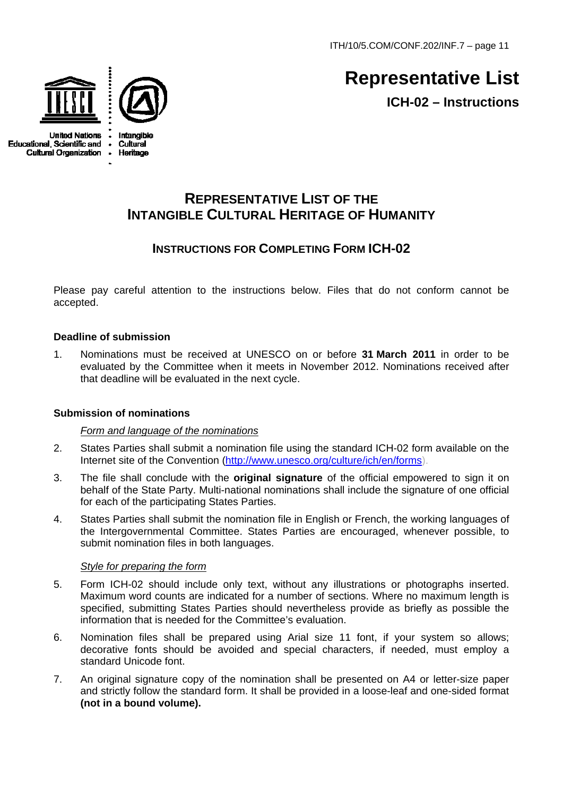ITH/10/5.COM/CONF.202/INF.7 – page 11



**United Nations Educational, Scientific and Cultural Organization** 



# **Representative List ICH-02 – Instructions**

# **REPRESENTATIVE LIST OF THE INTANGIBLE CULTURAL HERITAGE OF HUMANITY**

# **INSTRUCTIONS FOR COMPLETING FORM ICH-02**

Please pay careful attention to the instructions below. Files that do not conform cannot be accepted.

# **Deadline of submission**

1. Nominations must be received at UNESCO on or before **31 March 2011** in order to be evaluated by the Committee when it meets in November 2012. Nominations received after that deadline will be evaluated in the next cycle.

## **Submission of nominations**

## *Form and language of the nominations*

- 2. States Parties shall submit a nomination file using the standard ICH-02 form available on the Internet site of the Convention ([http://www.unesco.org/culture/ich/en/forms](http://www.unesco.org/culture/ich/en/forms/)).
- 3. The file shall conclude with the **original signature** of the official empowered to sign it on behalf of the State Party. Multi-national nominations shall include the signature of one official for each of the participating States Parties.
- 4. States Parties shall submit the nomination file in English or French, the working languages of the Intergovernmental Committee. States Parties are encouraged, whenever possible, to submit nomination files in both languages.

## *Style for preparing the form*

- 5. Form ICH-02 should include only text, without any illustrations or photographs inserted. Maximum word counts are indicated for a number of sections. Where no maximum length is specified, submitting States Parties should nevertheless provide as briefly as possible the information that is needed for the Committee's evaluation.
- 6. Nomination files shall be prepared using Arial size 11 font, if your system so allows; decorative fonts should be avoided and special characters, if needed, must employ a standard Unicode font.
- 7. An original signature copy of the nomination shall be presented on A4 or letter-size paper and strictly follow the standard form. It shall be provided in a loose-leaf and one-sided format **(not in a bound volume).**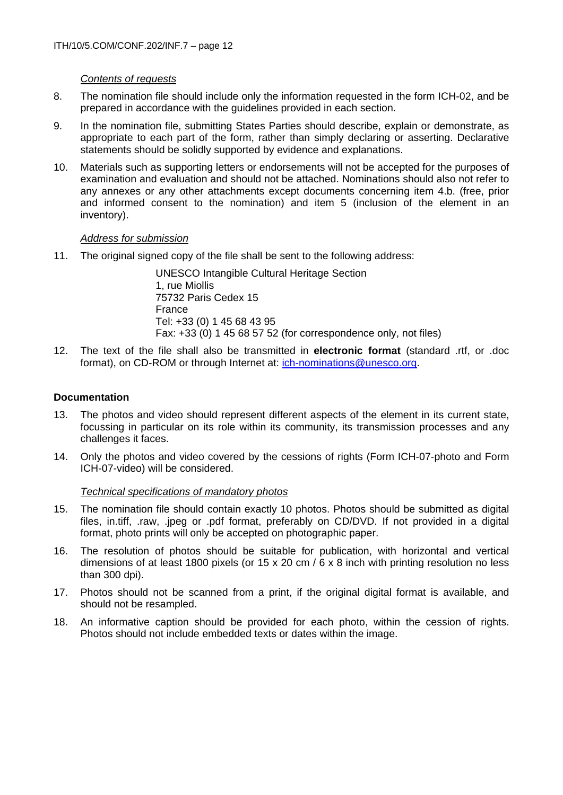# *Contents of requests*

- 8. The nomination file should include only the information requested in the form ICH-02, and be prepared in accordance with the guidelines provided in each section.
- 9. In the nomination file, submitting States Parties should describe, explain or demonstrate, as appropriate to each part of the form, rather than simply declaring or asserting. Declarative statements should be solidly supported by evidence and explanations.
- 10. Materials such as supporting letters or endorsements will not be accepted for the purposes of examination and evaluation and should not be attached. Nominations should also not refer to any annexes or any other attachments except documents concerning item 4.b. (free, prior and informed consent to the nomination) and item 5 (inclusion of the element in an inventory).

## *Address for submission*

11. The original signed copy of the file shall be sent to the following address:

UNESCO Intangible Cultural Heritage Section 1, rue Miollis 75732 Paris Cedex 15 France Tel: +33 (0) 1 45 68 43 95 Fax: +33 (0) 1 45 68 57 52 (for correspondence only, not files)

12. The text of the file shall also be transmitted in **electronic format** (standard .rtf, or .doc format), on CD-ROM or through Internet at: [ich-nominations@unesco.org](mailto:ich-nominations@unesco.org).

# **Documentation**

- 13. The photos and video should represent different aspects of the element in its current state, focussing in particular on its role within its community, its transmission processes and any challenges it faces.
- 14. Only the photos and video covered by the cessions of rights (Form ICH-07-photo and Form ICH-07-video) will be considered.

## *Technical specifications of mandatory photos*

- 15. The nomination file should contain exactly 10 photos. Photos should be submitted as digital files, in.tiff, .raw, .jpeg or .pdf format, preferably on CD/DVD. If not provided in a digital format, photo prints will only be accepted on photographic paper.
- 16. The resolution of photos should be suitable for publication, with horizontal and vertical dimensions of at least 1800 pixels (or 15 x 20 cm / 6 x 8 inch with printing resolution no less than 300 dpi).
- 17. Photos should not be scanned from a print, if the original digital format is available, and should not be resampled.
- 18. An informative caption should be provided for each photo, within the cession of rights. Photos should not include embedded texts or dates within the image.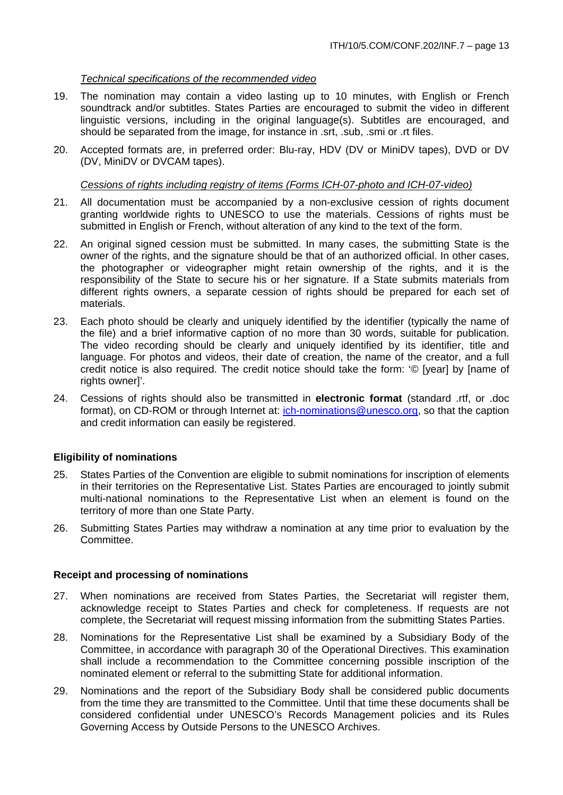#### *Technical specifications of the recommended video*

- 19. The nomination may contain a video lasting up to 10 minutes, with English or French soundtrack and/or subtitles. States Parties are encouraged to submit the video in different linguistic versions, including in the original language(s). Subtitles are encouraged, and should be separated from the image, for instance in .srt, .sub, .smi or .rt files.
- 20. Accepted formats are, in preferred order: Blu-ray, HDV (DV or MiniDV tapes), DVD or DV (DV, MiniDV or DVCAM tapes).

#### *Cessions of rights including registry of items (Forms ICH-07-photo and ICH-07-video)*

- 21. All documentation must be accompanied by a non-exclusive cession of rights document granting worldwide rights to UNESCO to use the materials. Cessions of rights must be submitted in English or French, without alteration of any kind to the text of the form.
- 22. An original signed cession must be submitted. In many cases, the submitting State is the owner of the rights, and the signature should be that of an authorized official. In other cases, the photographer or videographer might retain ownership of the rights, and it is the responsibility of the State to secure his or her signature. If a State submits materials from different rights owners, a separate cession of rights should be prepared for each set of materials.
- 23. Each photo should be clearly and uniquely identified by the identifier (typically the name of the file) and a brief informative caption of no more than 30 words, suitable for publication. The video recording should be clearly and uniquely identified by its identifier, title and language. For photos and videos, their date of creation, the name of the creator, and a full credit notice is also required. The credit notice should take the form: '© [year] by [name of rights ownerl'.
- 24. Cessions of rights should also be transmitted in **electronic format** (standard .rtf, or .doc format), on CD-ROM or through Internet at: [ich-nominations@unesco.org](mailto:ich-nominations@unesco.org), so that the caption and credit information can easily be registered.

#### **Eligibility of nominations**

- 25. States Parties of the Convention are eligible to submit nominations for inscription of elements in their territories on the Representative List. States Parties are encouraged to jointly submit multi-national nominations to the Representative List when an element is found on the territory of more than one State Party.
- 26. Submitting States Parties may withdraw a nomination at any time prior to evaluation by the Committee.

#### **Receipt and processing of nominations**

- 27. When nominations are received from States Parties, the Secretariat will register them, acknowledge receipt to States Parties and check for completeness. If requests are not complete, the Secretariat will request missing information from the submitting States Parties.
- 28. Nominations for the Representative List shall be examined by a Subsidiary Body of the Committee, in accordance with paragraph 30 of the Operational Directives. This examination shall include a recommendation to the Committee concerning possible inscription of the nominated element or referral to the submitting State for additional information.
- 29. Nominations and the report of the Subsidiary Body shall be considered public documents from the time they are transmitted to the Committee. Until that time these documents shall be considered confidential under UNESCO's Records Management policies and its Rules Governing Access by Outside Persons to the UNESCO Archives.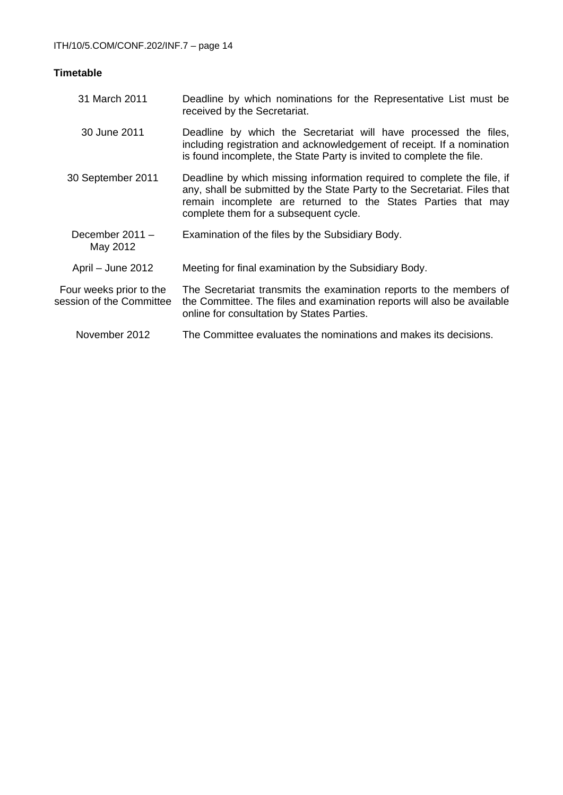# **Timetable**

| 31 March 2011                                       | Deadline by which nominations for the Representative List must be<br>received by the Secretariat.                                                                                                                                                              |
|-----------------------------------------------------|----------------------------------------------------------------------------------------------------------------------------------------------------------------------------------------------------------------------------------------------------------------|
| 30 June 2011                                        | Deadline by which the Secretariat will have processed the files,<br>including registration and acknowledgement of receipt. If a nomination<br>is found incomplete, the State Party is invited to complete the file.                                            |
| 30 September 2011                                   | Deadline by which missing information required to complete the file, if<br>any, shall be submitted by the State Party to the Secretariat. Files that<br>remain incomplete are returned to the States Parties that may<br>complete them for a subsequent cycle. |
| December $2011 -$<br>May 2012                       | Examination of the files by the Subsidiary Body.                                                                                                                                                                                                               |
| April - June 2012                                   | Meeting for final examination by the Subsidiary Body.                                                                                                                                                                                                          |
| Four weeks prior to the<br>session of the Committee | The Secretariat transmits the examination reports to the members of<br>the Committee. The files and examination reports will also be available<br>online for consultation by States Parties.                                                                   |
| November 2012                                       | The Committee evaluates the nominations and makes its decisions.                                                                                                                                                                                               |